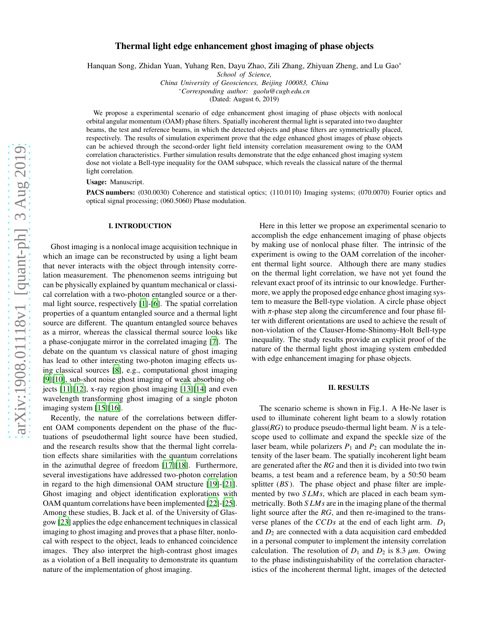# Thermal light edge enhancement ghost imaging of phase objects

Hanquan Song, Zhidan Yuan, Yuhang Ren, Dayu Zhao, Zili Zhang, Zhiyuan Zheng, and Lu Gao<sup>∗</sup>

*School of Science,*

*China University of Geosciences, Beijing 100083, China* <sup>∗</sup>*Corresponding author: gaolu@cugb.edu.cn*

(Dated: August 6, 2019)

We propose a experimental scenario of edge enhancement ghost imaging of phase objects with nonlocal orbital angular momentum (OAM) phase filters. Spatially incoherent thermal light is separated into two daughter beams, the test and reference beams, in which the detected objects and phase filters are symmetrically placed, respectively. The results of simulation experiment prove that the edge enhanced ghost images of phase objects can be achieved through the second-order light field intensity correlation measurement owing to the OAM correlation characteristics. Further simulation results demonstrate that the edge enhanced ghost imaging system dose not violate a Bell-type inequality for the OAM subspace, which reveals the classical nature of the thermal light correlation.

Usage: Manuscript.

PACS numbers: (030.0030) Coherence and statistical optics; (110.0110) Imaging systems; (070.0070) Fourier optics and optical signal processing; (060.5060) Phase modulation.

#### I. INTRODUCTION

Ghost imaging is a nonlocal image acquisition technique in which an image can be reconstructed by using a light beam that never interacts with the object through intensity correlation measurement. The phenomenon seems intriguing but can be physically explained by quantum mechanical or classical correlation with a two-photon entangled source or a thermal light source, respectively [\[1\]](#page-3-0)-[\[6\]](#page-3-1). The spatial correlation properties of a quantum entangled source and a thermal light source are different. The quantum entangled source behaves as a mirror, whereas the classical thermal source looks like a phase-conjugate mirror in the correlated imaging [\[7](#page-3-2)]. The debate on the quantum vs classical nature of ghost imaging has lead to other interesting two-photon imaging effects using classical sources [\[8\]](#page-3-3), e.g., computational ghost imaging [\[9](#page-3-4)][\[10\]](#page-3-5), sub-shot noise ghost imaging of weak absorbing objects [\[11\]](#page-3-6)[\[12](#page-3-7)], x-ray region ghost imaging [\[13](#page-3-8)][\[14\]](#page-3-9) and even wavelength transforming ghost imaging of a single photon imaging system [\[15\]](#page-3-10)[\[16](#page-3-11)].

Recently, the nature of the correlations between different OAM components dependent on the phase of the fluctuations of pseudothermal light source have been studied, and the research results show that the thermal light correlation effects share similarities with the quantum correlations in the azimuthal degree of freedom [\[17](#page-3-12)][\[18\]](#page-3-13). Furthermore, several investigations have addressed two-photon correlation in regard to the high dimensional OAM structure [\[19](#page-3-14)]-[\[21\]](#page-3-15). Ghost imaging and object identification explorations with OAM quantum correlations have been implemented [\[22](#page-3-16)]-[\[25\]](#page-3-17). Among these studies, B. Jack et al. of the University of Glasgow [\[23](#page-3-18)] applies the edge enhancement techniques in classical imaging to ghost imaging and proves that a phase filter, nonlocal with respect to the object, leads to enhanced coincidence images. They also interpret the high-contrast ghost images as a violation of a Bell inequality to demonstrate its quantum nature of the implementation of ghost imaging.

Here in this letter we propose an experimental scenario to accomplish the edge enhancement imaging of phase objects by making use of nonlocal phase filter. The intrinsic of the experiment is owing to the OAM correlation of the incoherent thermal light source. Although there are many studies on the thermal light correlation, we have not yet found the relevant exact proof of its intrinsic to our knowledge. Furthermore, we apply the proposed edge enhance ghost imaging system to measure the Bell-type violation. A circle phase object with  $\pi$ -phase step along the circumference and four phase filter with different orientations are used to achieve the result of non-violation of the Clauser-Home-Shinomy-Holt Bell-type inequality. The study results provide an explicit proof of the nature of the thermal light ghost imaging system embedded with edge enhancement imaging for phase objects.

### II. RESULTS

The scenario scheme is shown in Fig.1. A He-Ne laser is used to illuminate coherent light beam to a slowly rotation glass(*RG*) to produce pseudo-thermal light beam. *N* is a telescope used to collimate and expand the speckle size of the laser beam, while polarizers  $P_1$  and  $P_2$  can modulate the intensity of the laser beam. The spatially incoherent light beam are generated after the *RG* and then it is divided into two twin beams, a test beam and a reference beam, by a 50:50 beam splitter (*BS*). The phase object and phase filter are implemented by two *S LMs*, which are placed in each beam symmetrically. Both *S LMs* are in the imaging plane of the thermal light source after the *RG*, and then re-imagined to the transverse planes of the *CCDs* at the end of each light arm. *D*<sup>1</sup> and  $D_2$  are connected with a data acquisition card embedded in a personal computer to implement the intensity correlation calculation. The resolution of  $D_1$  and  $D_2$  is 8.3  $\mu$ m. Owing to the phase indistinguishability of the correlation characteristics of the incoherent thermal light, images of the detected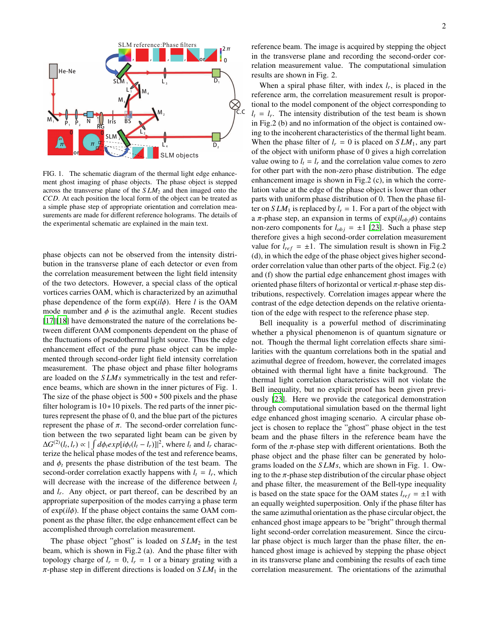

FIG. 1. The schematic diagram of the thermal light edge enhancement ghost imaging of phase objects. The phase object is stepped across the transverse plane of the *SLM*<sub>2</sub> and then imaged onto the *CCD*. At each position the local form of the object can be treated as a simple phase step of appropriate orientation and correlation measurements are made for different reference holograms. The details of the experimental schematic are explained in the main text.

phase objects can not be observed from the intensity distribution in the transverse plane of each detector or even from the correlation measurement between the light field intensity of the two detectors. However, a special class of the optical vortices carries OAM, which is characterized by an azimuthal phase dependence of the form exp(*il*φ). Here *l* is the OAM mode number and  $\phi$  is the azimuthal angle. Recent studies [\[17](#page-3-12)][\[18\]](#page-3-13) have demonstrated the nature of the correlations between different OAM components dependent on the phase of the fluctuations of pseudothermal light source. Thus the edge enhancement effect of the pure phase object can be implemented through second-order light field intensity correlation measurement. The phase object and phase filter holograms are loaded on the *S LMs* symmetrically in the test and reference beams, which are shown in the inner pictures of Fig. 1. The size of the phase object is 500 ∗ 500 pixels and the phase filter hologram is 10∗10 pixels. The red parts of the inner pictures represent the phase of 0, and the blue part of the pictures represent the phase of  $π$ . The second-order correlation function between the two separated light beam can be given by  $\Delta G^{(2)}(l_t, l_r) \propto |\int d\phi_t exp[i\phi_t(l_t - l_r)]|^2$ , where  $l_t$  and  $l_t$  characterize the helical phase modes of the test and reference beams, and  $\phi_t$  presents the phase distribution of the test beam. The second-order correlation exactly happens with  $l_t = l_r$ , which will decrease with the increase of the difference between *l<sup>t</sup>* and *l<sup>r</sup>* . Any object, or part thereof, can be described by an appropriate superposition of the modes carrying a phase term of exp(*il*φ). If the phase object contains the same OAM component as the phase filter, the edge enhancement effect can be accomplished through correlation measurement.

The phase object "ghost" is loaded on  $SLM<sub>2</sub>$  in the test beam, which is shown in Fig.2 (a). And the phase filter with topology charge of  $l_r = 0$ ,  $l_r = 1$  or a binary grating with a  $\pi$ -phase step in different directions is loaded on  $SLM_1$  in the

reference beam. The image is acquired by stepping the object in the transverse plane and recording the second-order correlation measurement value. The computational simulation results are shown in Fig. 2.

When a spiral phase filter, with index  $l_r$ , is placed in the reference arm, the correlation measurement result is proportional to the model component of the object corresponding to  $l_t = l_r$ . The intensity distribution of the test beam is shown in Fig.2 (b) and no information of the object is contained owing to the incoherent characteristics of the thermal light beam. When the phase filter of  $l_r = 0$  is placed on  $SLM_1$ , any part of the object with uniform phase of 0 gives a high correlation value owing to  $l_t = l_r$  and the correlation value comes to zero for other part with the non-zero phase distribution. The edge enhancement image is shown in Fig.2 (c), in which the correlation value at the edge of the phase object is lower than other parts with uniform phase distribution of 0. Then the phase filter on  $SLM_1$  is replaced by  $l_r = 1$ . For a part of the object with a  $\pi$ -phase step, an expansion in terms of exp( $il_{obj}\phi$ ) contains non-zero components for  $l_{obj} = \pm 1$  [\[23\]](#page-3-18). Such a phase step therefore gives a high second-order correlation measurement value for  $l_{ref} = \pm 1$ . The simulation result is shown in Fig.2 (d), in which the edge of the phase object gives higher secondorder correlation value than other parts of the object. Fig.2 (e) and (f) show the partial edge enhancement ghost images with oriented phase filters of horizontal or vertical  $\pi$ -phase step distributions, respectively. Correlation images appear where the contrast of the edge detection depends on the relative orientation of the edge with respect to the reference phase step.

Bell inequality is a powerful method of discriminating whether a physical phenomenon is of quantum signature or not. Though the thermal light correlation effects share similarities with the quantum correlations both in the spatial and azimuthal degree of freedom, however, the correlated images obtained with thermal light have a finite background. The thermal light correlation characteristics will not violate the Bell inequality, but no explicit proof has been given previously [\[23\]](#page-3-18). Here we provide the categorical demonstration through computational simulation based on the thermal light edge enhanced ghost imaging scenario. A circular phase object is chosen to replace the "ghost" phase object in the test beam and the phase filters in the reference beam have the form of the  $\pi$ -phase step with different orientations. Both the phase object and the phase filter can be generated by holograms loaded on the *S LMs*, which are shown in Fig. 1. Owing to the  $\pi$ -phase step distribution of the circular phase object and phase filter, the measurement of the Bell-type inequality is based on the state space for the OAM states  $l_{ref} = \pm 1$  with an equally weighted superposition. Only if the phase filter has the same azimuthal orientation as the phase circular object, the enhanced ghost image appears to be "bright" through thermal light second-order correlation measurement. Since the circular phase object is much larger than the phase filter, the enhanced ghost image is achieved by stepping the phase object in its transverse plane and combining the results of each time correlation measurement. The orientations of the azimuthal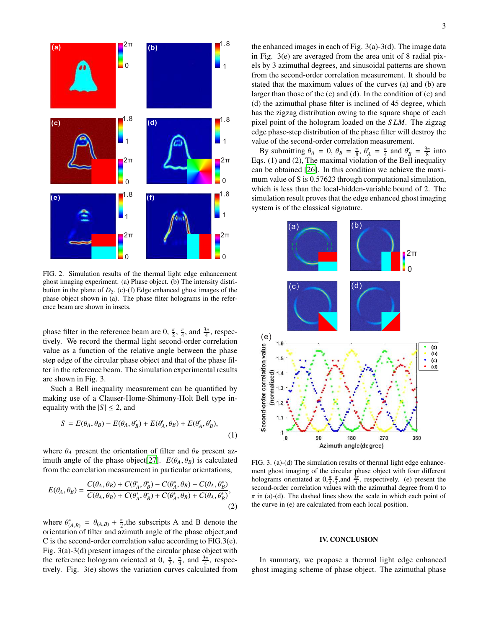

FIG. 2. Simulation results of the thermal light edge enhancement ghost imaging experiment. (a) Phase object. (b) The intensity distribution in the plane of  $D_2$ . (c)-(f) Edge enhanced ghost images of the phase object shown in (a). The phase filter holograms in the reference beam are shown in insets.

phase filter in the reference beam are 0,  $\frac{\pi}{2}$ ,  $\frac{\pi}{4}$ , and  $\frac{3\pi}{4}$ , respectively. We record the thermal light second-order correlation value as a function of the relative angle between the phase step edge of the circular phase object and that of the phase filter in the reference beam. The simulation experimental results are shown in Fig. 3.

Such a Bell inequality measurement can be quantified by making use of a Clauser-Home-Shimony-Holt Bell type inequality with the  $|S| \le 2$ , and

$$
S = E(\theta_A, \theta_B) - E(\theta_A, \theta'_B) + E(\theta'_A, \theta_B) + E(\theta'_A, \theta'_B),
$$
\n(1)

where  $\theta_A$  present the orientation of filter and  $\theta_B$  present az-imuth angle of the phase object [\[27](#page-3-19)].  $E(\theta_A, \theta_B)$  is calculated from the correlation measurement in particular orientations,

$$
E(\theta_A, \theta_B) = \frac{C(\theta_A, \theta_B) + C(\theta_A^*, \theta_B^*) - C(\theta_A^*, \theta_B) - C(\theta_A, \theta_B^*)}{C(\theta_A, \theta_B) + C(\theta_A^*, \theta_B^*) + C(\theta_A^*, \theta_B) + C(\theta_A, \theta_B^*)},
$$
\n(2)

where  $\theta_{(A,B)}^* = \theta_{(A,B)} + \frac{\pi}{2}$ , the subscripts A and B denote the orientation of filter and azimuth angle of the phase object,and C is the second-order correlation value according to FIG.3(e). Fig. 3(a)-3(d) present images of the circular phase object with the reference hologram oriented at 0,  $\frac{\pi}{2}$ ,  $\frac{\pi}{4}$ , and  $\frac{3\pi}{4}$ , respectively. Fig. 3(e) shows the variation curves calculated from

the enhanced images in each of Fig. 3(a)-3(d). The image data in Fig. 3(e) are averaged from the area unit of 8 radial pixels by 3 azimuthal degrees, and sinusoidal patterns are shown from the second-order correlation measurement. It should be stated that the maximum values of the curves (a) and (b) are larger than those of the (c) and (d). In the condition of (c) and (d) the azimuthal phase filter is inclined of 45 degree, which has the zigzag distribution owing to the square shape of each pixel point of the hologram loaded on the *S LM*. The zigzag edge phase-step distribution of the phase filter will destroy the value of the second-order correlation measurement.

By submitting  $\theta_A = 0$ ,  $\theta_B = \frac{\pi}{8}$ ,  $\theta'_A = \frac{\pi}{4}$  and  $\theta'_B = \frac{3\pi}{8}$  into Eqs. (1) and (2), The maximal violation of the Bell inequality can be obtained [\[26\]](#page-3-20). In this condition we achieve the maximum value of S is  $0.57623$  through computational simulation, which is less than the local-hidden-variable bound of 2. The simulation result proves that the edge enhanced ghost imaging system is of the classical signature.



FIG. 3. (a)-(d) The simulation results of thermal light edge enhancement ghost imaging of the circular phase object with four different holograms orientated at  $0, \frac{\pi}{2}, \frac{\pi}{4}$ , and  $\frac{3\pi}{4}$ , respectively. (e) present the second-order correlation values with the azimuthal degree from 0 to  $\pi$  in (a)-(d). The dashed lines show the scale in which each point of the curve in (e) are calculated from each local position.

## IV. CONCLUSION

In summary, we propose a thermal light edge enhanced ghost imaging scheme of phase object. The azimuthal phase